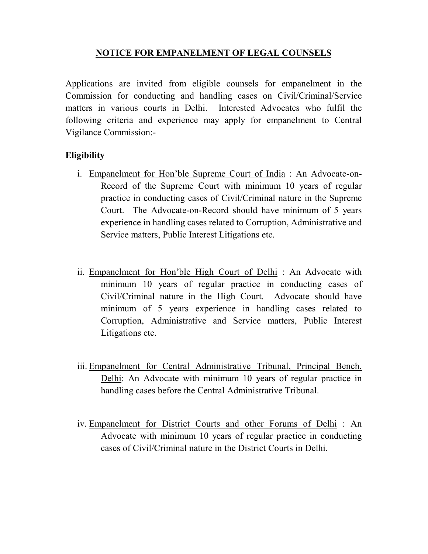## NOTICE FOR EMPANELMENT OF LEGAL COUNSELS

Applications are invited from eligible counsels for empanelment in the Commission for conducting and handling cases on Civil/Criminal/Service matters in various courts in Delhi. Interested Advocates who fulfil the following criteria and experience may apply for empanelment to Central Vigilance Commission:-

## Eligibility

- i. Empanelment for Hon'ble Supreme Court of India : An Advocate-on-Record of the Supreme Court with minimum 10 years of regular practice in conducting cases of Civil/Criminal nature in the Supreme Court. The Advocate-on-Record should have minimum of 5 years experience in handling cases related to Corruption, Administrative and Service matters, Public Interest Litigations etc.
- ii. Empanelment for Hon'ble High Court of Delhi : An Advocate with minimum 10 years of regular practice in conducting cases of Civil/Criminal nature in the High Court. Advocate should have minimum of 5 years experience in handling cases related to Corruption, Administrative and Service matters, Public Interest Litigations etc.
- iii. Empanelment for Central Administrative Tribunal, Principal Bench, Delhi: An Advocate with minimum 10 years of regular practice in handling cases before the Central Administrative Tribunal.
- iv. Empanelment for District Courts and other Forums of Delhi : An Advocate with minimum 10 years of regular practice in conducting cases of Civil/Criminal nature in the District Courts in Delhi.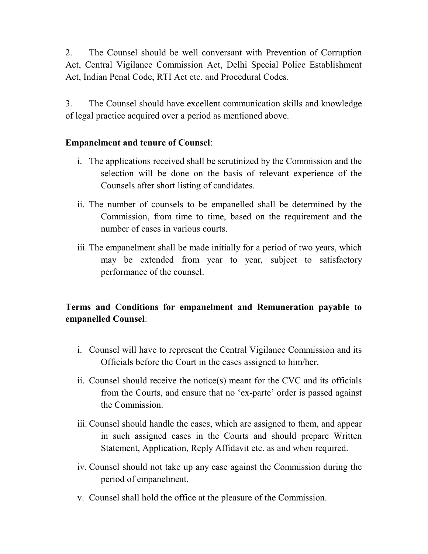2. The Counsel should be well conversant with Prevention of Corruption Act, Central Vigilance Commission Act, Delhi Special Police Establishment Act, Indian Penal Code, RTI Act etc. and Procedural Codes.

3. The Counsel should have excellent communication skills and knowledge of legal practice acquired over a period as mentioned above.

## Empanelment and tenure of Counsel:

- i. The applications received shall be scrutinized by the Commission and the selection will be done on the basis of relevant experience of the Counsels after short listing of candidates.
- ii. The number of counsels to be empanelled shall be determined by the Commission, from time to time, based on the requirement and the number of cases in various courts.
- iii. The empanelment shall be made initially for a period of two years, which may be extended from year to year, subject to satisfactory performance of the counsel.

## Terms and Conditions for empanelment and Remuneration payable to empanelled Counsel:

- i. Counsel will have to represent the Central Vigilance Commission and its Officials before the Court in the cases assigned to him/her.
- ii. Counsel should receive the notice(s) meant for the CVC and its officials from the Courts, and ensure that no 'ex-parte' order is passed against the Commission.
- iii. Counsel should handle the cases, which are assigned to them, and appear in such assigned cases in the Courts and should prepare Written Statement, Application, Reply Affidavit etc. as and when required.
- iv. Counsel should not take up any case against the Commission during the period of empanelment.
- v. Counsel shall hold the office at the pleasure of the Commission.